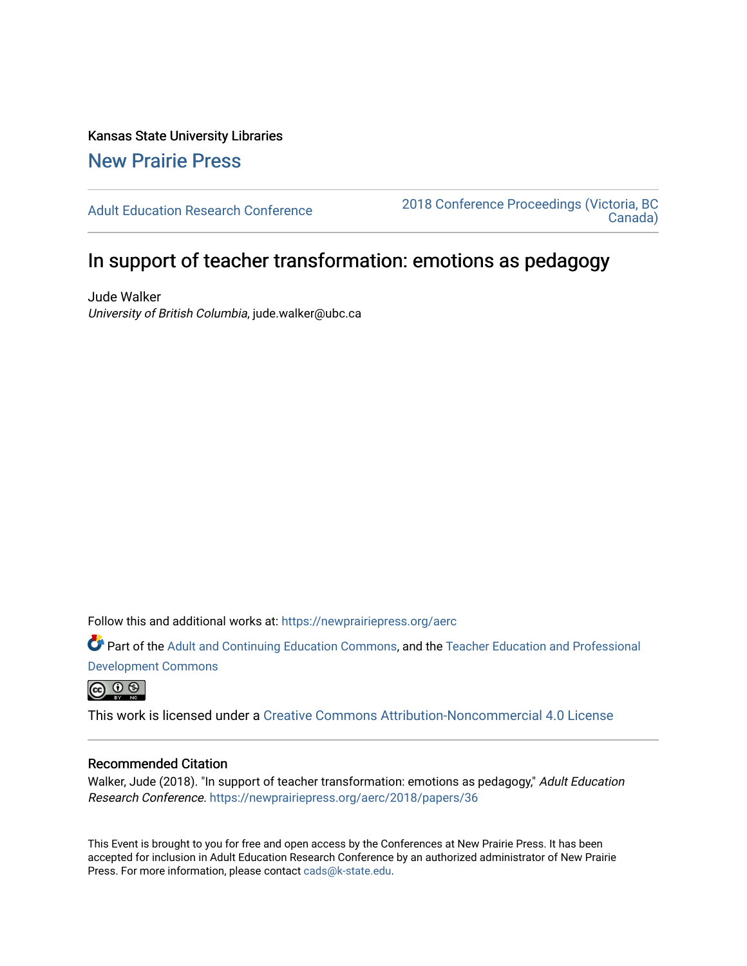Kansas State University Libraries [New Prairie Press](https://newprairiepress.org/) 

[Adult Education Research Conference](https://newprairiepress.org/aerc) [2018 Conference Proceedings \(Victoria, BC](https://newprairiepress.org/aerc/2018)  [Canada\)](https://newprairiepress.org/aerc/2018) 

# In support of teacher transformation: emotions as pedagogy

Jude Walker University of British Columbia, jude.walker@ubc.ca

Follow this and additional works at: [https://newprairiepress.org/aerc](https://newprairiepress.org/aerc?utm_source=newprairiepress.org%2Faerc%2F2018%2Fpapers%2F36&utm_medium=PDF&utm_campaign=PDFCoverPages)

Part of the [Adult and Continuing Education Commons,](http://network.bepress.com/hgg/discipline/1375?utm_source=newprairiepress.org%2Faerc%2F2018%2Fpapers%2F36&utm_medium=PDF&utm_campaign=PDFCoverPages) and the [Teacher Education and Professional](http://network.bepress.com/hgg/discipline/803?utm_source=newprairiepress.org%2Faerc%2F2018%2Fpapers%2F36&utm_medium=PDF&utm_campaign=PDFCoverPages) [Development Commons](http://network.bepress.com/hgg/discipline/803?utm_source=newprairiepress.org%2Faerc%2F2018%2Fpapers%2F36&utm_medium=PDF&utm_campaign=PDFCoverPages) 

 $\circledcirc$   $\circledcirc$ 

This work is licensed under a [Creative Commons Attribution-Noncommercial 4.0 License](https://creativecommons.org/licenses/by-nc/4.0/)

### Recommended Citation

Walker, Jude (2018). "In support of teacher transformation: emotions as pedagogy," Adult Education Research Conference. <https://newprairiepress.org/aerc/2018/papers/36>

This Event is brought to you for free and open access by the Conferences at New Prairie Press. It has been accepted for inclusion in Adult Education Research Conference by an authorized administrator of New Prairie Press. For more information, please contact [cads@k-state.edu.](mailto:cads@k-state.edu)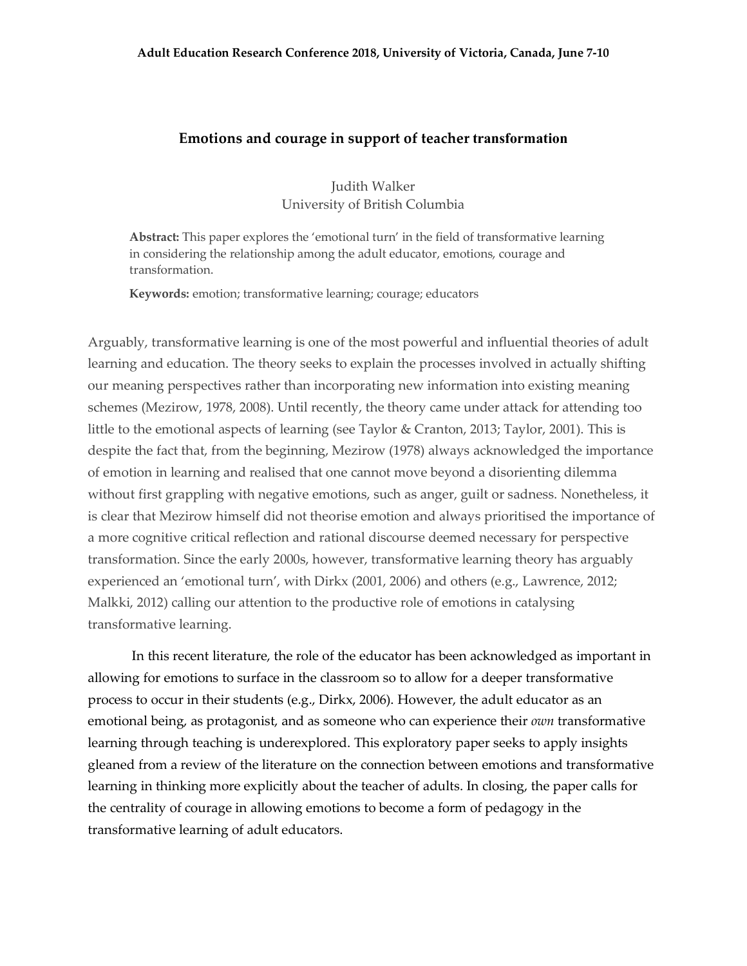#### **Emotions and courage in support of teacher transformation**

Judith Walker University of British Columbia

**Abstract:** This paper explores the 'emotional turn' in the field of transformative learning in considering the relationship among the adult educator, emotions, courage and transformation.

**Keywords:** emotion; transformative learning; courage; educators

Arguably, transformative learning is one of the most powerful and influential theories of adult learning and education. The theory seeks to explain the processes involved in actually shifting our meaning perspectives rather than incorporating new information into existing meaning schemes (Mezirow, 1978, 2008). Until recently, the theory came under attack for attending too little to the emotional aspects of learning (see Taylor & Cranton, 2013; Taylor, 2001). This is despite the fact that, from the beginning, Mezirow (1978) always acknowledged the importance of emotion in learning and realised that one cannot move beyond a disorienting dilemma without first grappling with negative emotions, such as anger, guilt or sadness. Nonetheless, it is clear that Mezirow himself did not theorise emotion and always prioritised the importance of a more cognitive critical reflection and rational discourse deemed necessary for perspective transformation. Since the early 2000s, however, transformative learning theory has arguably experienced an 'emotional turn', with Dirkx (2001, 2006) and others (e.g., Lawrence, 2012; Malkki, 2012) calling our attention to the productive role of emotions in catalysing transformative learning.

In this recent literature, the role of the educator has been acknowledged as important in allowing for emotions to surface in the classroom so to allow for a deeper transformative process to occur in their students (e.g., Dirkx, 2006). However, the adult educator as an emotional being, as protagonist, and as someone who can experience their *own* transformative learning through teaching is underexplored. This exploratory paper seeks to apply insights gleaned from a review of the literature on the connection between emotions and transformative learning in thinking more explicitly about the teacher of adults. In closing, the paper calls for the centrality of courage in allowing emotions to become a form of pedagogy in the transformative learning of adult educators.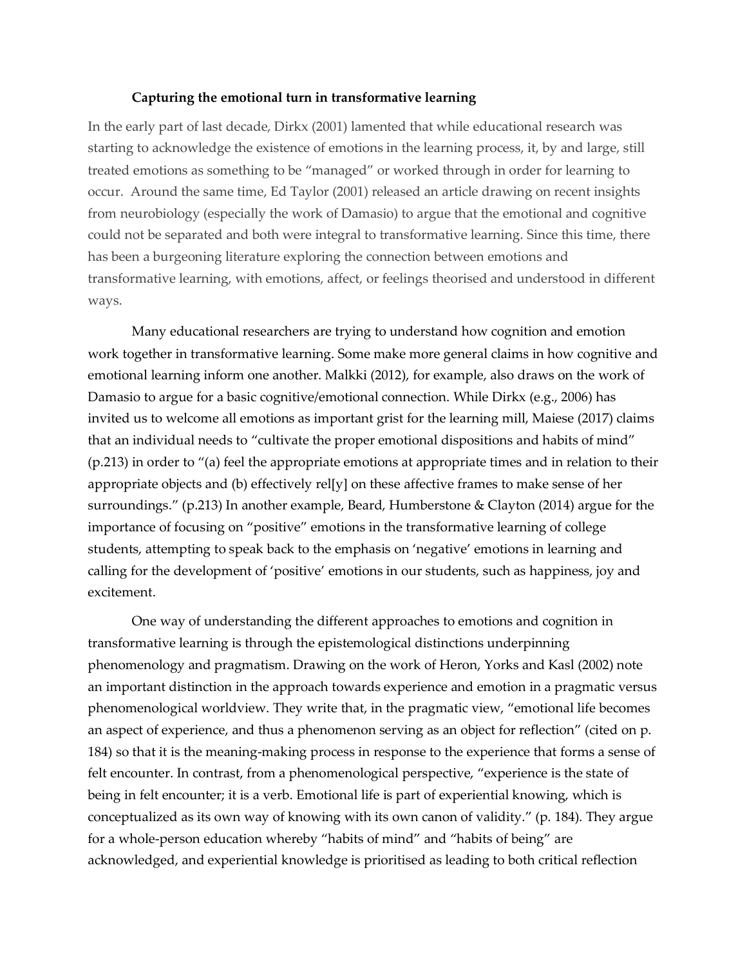#### **Capturing the emotional turn in transformative learning**

In the early part of last decade, Dirkx (2001) lamented that while educational research was starting to acknowledge the existence of emotions in the learning process, it, by and large, still treated emotions as something to be "managed" or worked through in order for learning to occur. Around the same time, Ed Taylor (2001) released an article drawing on recent insights from neurobiology (especially the work of Damasio) to argue that the emotional and cognitive could not be separated and both were integral to transformative learning. Since this time, there has been a burgeoning literature exploring the connection between emotions and transformative learning, with emotions, affect, or feelings theorised and understood in different ways.

Many educational researchers are trying to understand how cognition and emotion work together in transformative learning. Some make more general claims in how cognitive and emotional learning inform one another. Malkki (2012), for example, also draws on the work of Damasio to argue for a basic cognitive/emotional connection. While Dirkx (e.g., 2006) has invited us to welcome all emotions as important grist for the learning mill, Maiese (2017) claims that an individual needs to "cultivate the proper emotional dispositions and habits of mind" (p.213) in order to "(a) feel the appropriate emotions at appropriate times and in relation to their appropriate objects and (b) effectively rel[y] on these affective frames to make sense of her surroundings." (p.213) In another example, Beard, Humberstone & Clayton (2014) argue for the importance of focusing on "positive" emotions in the transformative learning of college students, attempting to speak back to the emphasis on 'negative' emotions in learning and calling for the development of 'positive' emotions in our students, such as happiness, joy and excitement.

One way of understanding the different approaches to emotions and cognition in transformative learning is through the epistemological distinctions underpinning phenomenology and pragmatism. Drawing on the work of Heron, Yorks and Kasl (2002) note an important distinction in the approach towards experience and emotion in a pragmatic versus phenomenological worldview. They write that, in the pragmatic view, "emotional life becomes an aspect of experience, and thus a phenomenon serving as an object for reflection" (cited on p. 184) so that it is the meaning-making process in response to the experience that forms a sense of felt encounter. In contrast, from a phenomenological perspective, "experience is the state of being in felt encounter; it is a verb. Emotional life is part of experiential knowing, which is conceptualized as its own way of knowing with its own canon of validity." (p. 184). They argue for a whole-person education whereby "habits of mind" and "habits of being" are acknowledged, and experiential knowledge is prioritised as leading to both critical reflection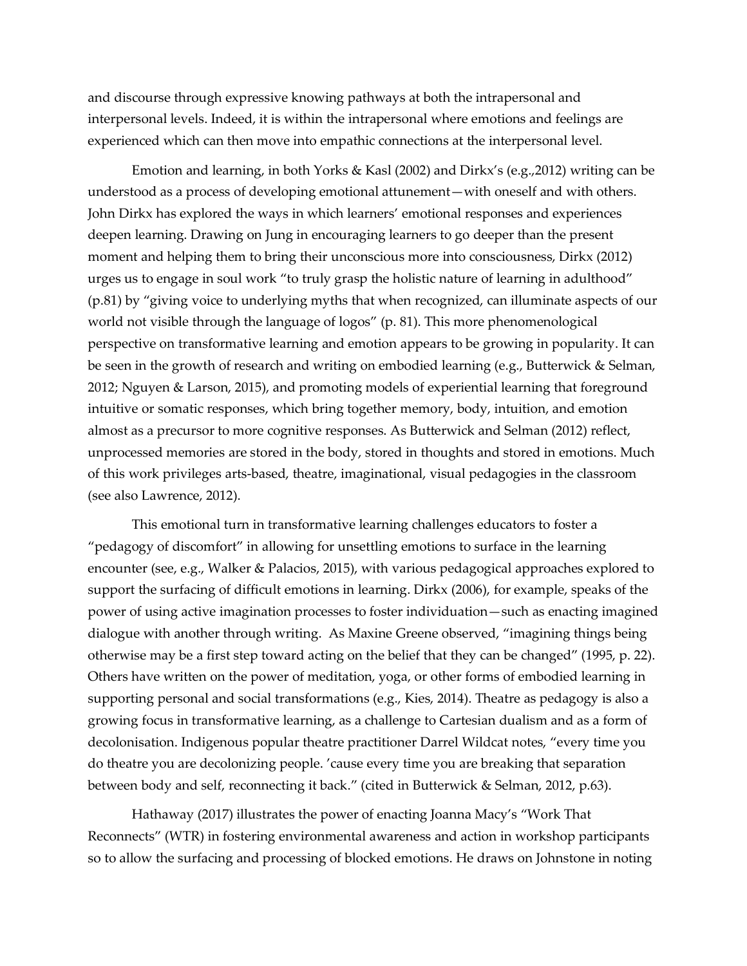and discourse through expressive knowing pathways at both the intrapersonal and interpersonal levels. Indeed, it is within the intrapersonal where emotions and feelings are experienced which can then move into empathic connections at the interpersonal level.

Emotion and learning, in both Yorks & Kasl (2002) and Dirkx's (e.g.,2012) writing can be understood as a process of developing emotional attunement—with oneself and with others. John Dirkx has explored the ways in which learners' emotional responses and experiences deepen learning. Drawing on Jung in encouraging learners to go deeper than the present moment and helping them to bring their unconscious more into consciousness, Dirkx (2012) urges us to engage in soul work "to truly grasp the holistic nature of learning in adulthood" (p.81) by "giving voice to underlying myths that when recognized, can illuminate aspects of our world not visible through the language of logos" (p. 81). This more phenomenological perspective on transformative learning and emotion appears to be growing in popularity. It can be seen in the growth of research and writing on embodied learning (e.g., Butterwick & Selman, 2012; Nguyen & Larson, 2015), and promoting models of experiential learning that foreground intuitive or somatic responses, which bring together memory, body, intuition, and emotion almost as a precursor to more cognitive responses. As Butterwick and Selman (2012) reflect, unprocessed memories are stored in the body, stored in thoughts and stored in emotions. Much of this work privileges arts-based, theatre, imaginational, visual pedagogies in the classroom (see also Lawrence, 2012).

This emotional turn in transformative learning challenges educators to foster a "pedagogy of discomfort" in allowing for unsettling emotions to surface in the learning encounter (see, e.g., Walker & Palacios, 2015), with various pedagogical approaches explored to support the surfacing of difficult emotions in learning. Dirkx (2006), for example, speaks of the power of using active imagination processes to foster individuation—such as enacting imagined dialogue with another through writing. As Maxine Greene observed, "imagining things being otherwise may be a first step toward acting on the belief that they can be changed" (1995, p. 22). Others have written on the power of meditation, yoga, or other forms of embodied learning in supporting personal and social transformations (e.g., Kies, 2014). Theatre as pedagogy is also a growing focus in transformative learning, as a challenge to Cartesian dualism and as a form of decolonisation. Indigenous popular theatre practitioner Darrel Wildcat notes, "every time you do theatre you are decolonizing people. 'cause every time you are breaking that separation between body and self, reconnecting it back." (cited in Butterwick & Selman, 2012, p.63).

Hathaway (2017) illustrates the power of enacting Joanna Macy's "Work That Reconnects" (WTR) in fostering environmental awareness and action in workshop participants so to allow the surfacing and processing of blocked emotions. He draws on Johnstone in noting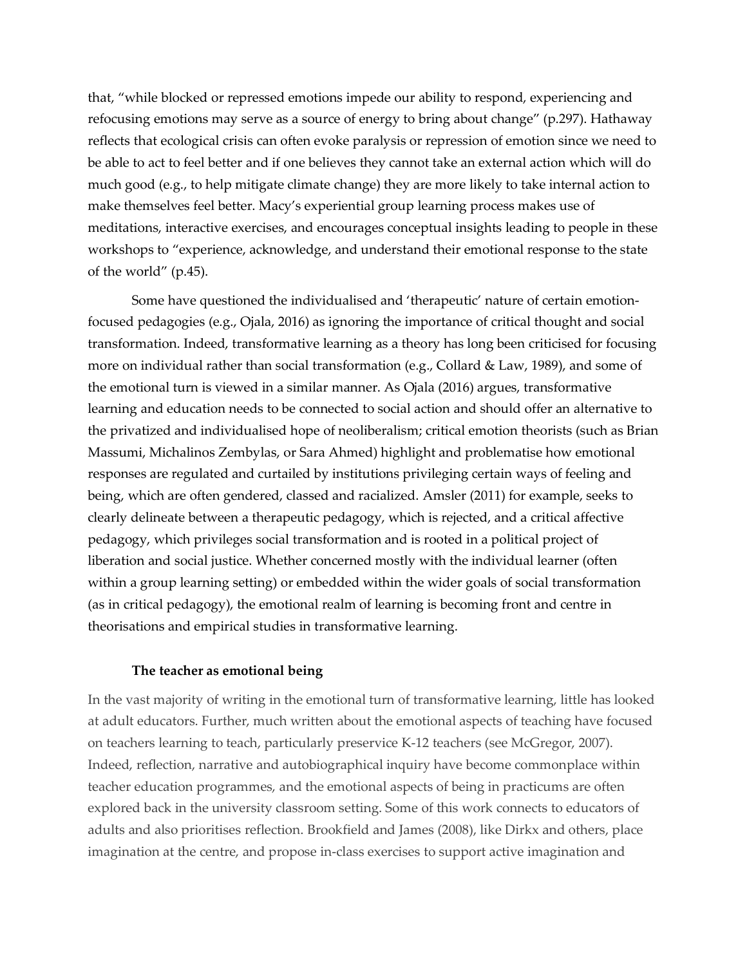that, "while blocked or repressed emotions impede our ability to respond, experiencing and refocusing emotions may serve as a source of energy to bring about change" (p.297). Hathaway reflects that ecological crisis can often evoke paralysis or repression of emotion since we need to be able to act to feel better and if one believes they cannot take an external action which will do much good (e.g., to help mitigate climate change) they are more likely to take internal action to make themselves feel better. Macy's experiential group learning process makes use of meditations, interactive exercises, and encourages conceptual insights leading to people in these workshops to "experience, acknowledge, and understand their emotional response to the state of the world" (p.45).

Some have questioned the individualised and 'therapeutic' nature of certain emotionfocused pedagogies (e.g., Ojala, 2016) as ignoring the importance of critical thought and social transformation. Indeed, transformative learning as a theory has long been criticised for focusing more on individual rather than social transformation (e.g., Collard & Law, 1989), and some of the emotional turn is viewed in a similar manner. As Ojala (2016) argues, transformative learning and education needs to be connected to social action and should offer an alternative to the privatized and individualised hope of neoliberalism; critical emotion theorists (such as Brian Massumi, Michalinos Zembylas, or Sara Ahmed) highlight and problematise how emotional responses are regulated and curtailed by institutions privileging certain ways of feeling and being, which are often gendered, classed and racialized. Amsler (2011) for example, seeks to clearly delineate between a therapeutic pedagogy, which is rejected, and a critical affective pedagogy, which privileges social transformation and is rooted in a political project of liberation and social justice. Whether concerned mostly with the individual learner (often within a group learning setting) or embedded within the wider goals of social transformation (as in critical pedagogy), the emotional realm of learning is becoming front and centre in theorisations and empirical studies in transformative learning.

#### **The teacher as emotional being**

In the vast majority of writing in the emotional turn of transformative learning, little has looked at adult educators. Further, much written about the emotional aspects of teaching have focused on teachers learning to teach, particularly preservice K-12 teachers (see McGregor, 2007). Indeed, reflection, narrative and autobiographical inquiry have become commonplace within teacher education programmes, and the emotional aspects of being in practicums are often explored back in the university classroom setting. Some of this work connects to educators of adults and also prioritises reflection. Brookfield and James (2008), like Dirkx and others, place imagination at the centre, and propose in-class exercises to support active imagination and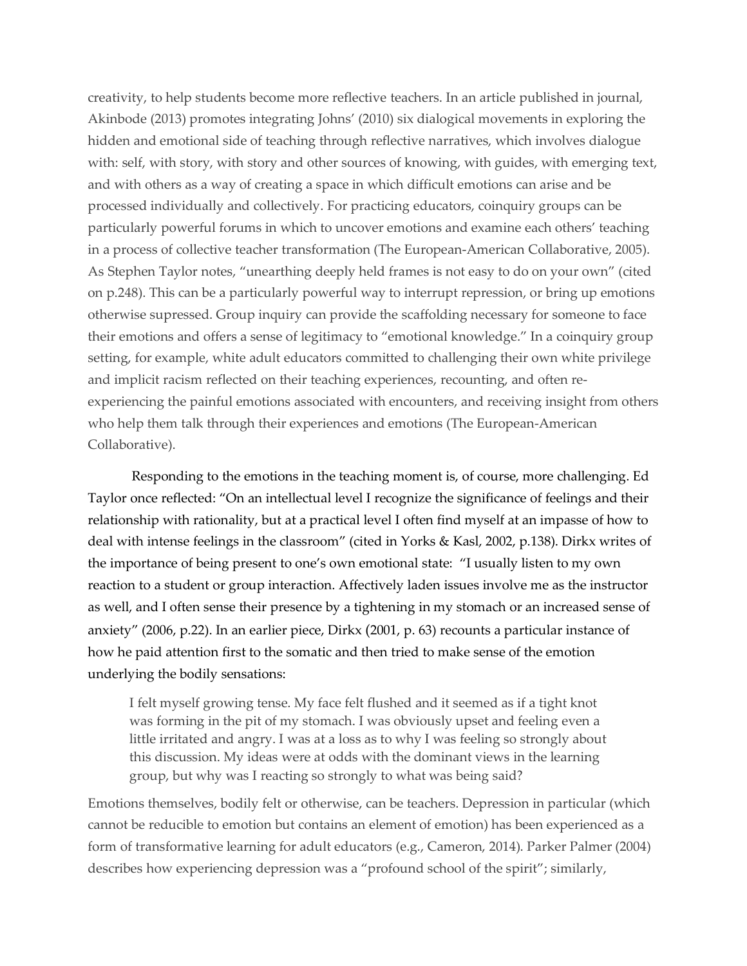creativity, to help students become more reflective teachers. In an article published in journal, Akinbode (2013) promotes integrating Johns' (2010) six dialogical movements in exploring the hidden and emotional side of teaching through reflective narratives, which involves dialogue with: self, with story, with story and other sources of knowing, with guides, with emerging text, and with others as a way of creating a space in which difficult emotions can arise and be processed individually and collectively. For practicing educators, coinquiry groups can be particularly powerful forums in which to uncover emotions and examine each others' teaching in a process of collective teacher transformation (The European-American Collaborative, 2005). As Stephen Taylor notes, "unearthing deeply held frames is not easy to do on your own" (cited on p.248). This can be a particularly powerful way to interrupt repression, or bring up emotions otherwise supressed. Group inquiry can provide the scaffolding necessary for someone to face their emotions and offers a sense of legitimacy to "emotional knowledge." In a coinquiry group setting, for example, white adult educators committed to challenging their own white privilege and implicit racism reflected on their teaching experiences, recounting, and often reexperiencing the painful emotions associated with encounters, and receiving insight from others who help them talk through their experiences and emotions (The European-American Collaborative).

Responding to the emotions in the teaching moment is, of course, more challenging. Ed Taylor once reflected: "On an intellectual level I recognize the significance of feelings and their relationship with rationality, but at a practical level I often find myself at an impasse of how to deal with intense feelings in the classroom" (cited in Yorks & Kasl, 2002, p.138). Dirkx writes of the importance of being present to one's own emotional state: "I usually listen to my own reaction to a student or group interaction. Affectively laden issues involve me as the instructor as well, and I often sense their presence by a tightening in my stomach or an increased sense of anxiety" (2006, p.22). In an earlier piece, Dirkx (2001, p. 63) recounts a particular instance of how he paid attention first to the somatic and then tried to make sense of the emotion underlying the bodily sensations:

I felt myself growing tense. My face felt flushed and it seemed as if a tight knot was forming in the pit of my stomach. I was obviously upset and feeling even a little irritated and angry. I was at a loss as to why I was feeling so strongly about this discussion. My ideas were at odds with the dominant views in the learning group, but why was I reacting so strongly to what was being said?

Emotions themselves, bodily felt or otherwise, can be teachers. Depression in particular (which cannot be reducible to emotion but contains an element of emotion) has been experienced as a form of transformative learning for adult educators (e.g., Cameron, 2014). Parker Palmer (2004) describes how experiencing depression was a "profound school of the spirit"; similarly,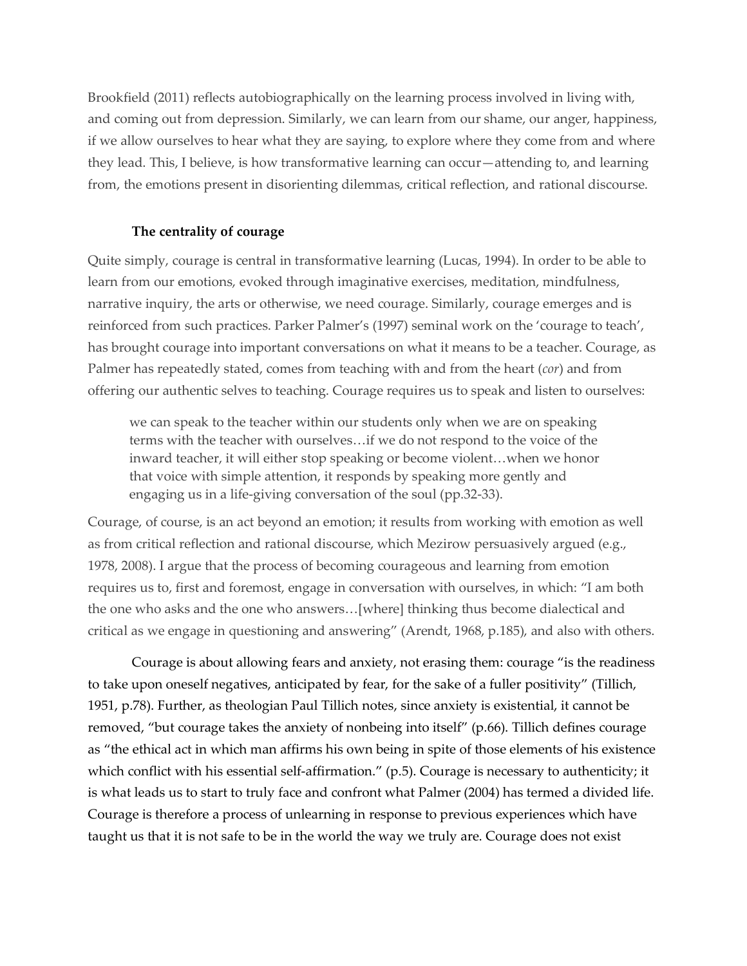Brookfield (2011) reflects autobiographically on the learning process involved in living with, and coming out from depression. Similarly, we can learn from our shame, our anger, happiness, if we allow ourselves to hear what they are saying, to explore where they come from and where they lead. This, I believe, is how transformative learning can occur—attending to, and learning from, the emotions present in disorienting dilemmas, critical reflection, and rational discourse.

## **The centrality of courage**

Quite simply, courage is central in transformative learning (Lucas, 1994). In order to be able to learn from our emotions, evoked through imaginative exercises, meditation, mindfulness, narrative inquiry, the arts or otherwise, we need courage. Similarly, courage emerges and is reinforced from such practices. Parker Palmer's (1997) seminal work on the 'courage to teach', has brought courage into important conversations on what it means to be a teacher. Courage, as Palmer has repeatedly stated, comes from teaching with and from the heart (*cor*) and from offering our authentic selves to teaching. Courage requires us to speak and listen to ourselves:

we can speak to the teacher within our students only when we are on speaking terms with the teacher with ourselves…if we do not respond to the voice of the inward teacher, it will either stop speaking or become violent…when we honor that voice with simple attention, it responds by speaking more gently and engaging us in a life-giving conversation of the soul (pp.32-33).

Courage, of course, is an act beyond an emotion; it results from working with emotion as well as from critical reflection and rational discourse, which Mezirow persuasively argued (e.g., 1978, 2008). I argue that the process of becoming courageous and learning from emotion requires us to, first and foremost, engage in conversation with ourselves, in which: "I am both the one who asks and the one who answers…[where] thinking thus become dialectical and critical as we engage in questioning and answering" (Arendt, 1968, p.185), and also with others.

Courage is about allowing fears and anxiety, not erasing them: courage "is the readiness to take upon oneself negatives, anticipated by fear, for the sake of a fuller positivity" (Tillich, 1951, p.78). Further, as theologian Paul Tillich notes, since anxiety is existential, it cannot be removed, "but courage takes the anxiety of nonbeing into itself" (p.66). Tillich defines courage as "the ethical act in which man affirms his own being in spite of those elements of his existence which conflict with his essential self-affirmation." (p.5). Courage is necessary to authenticity; it is what leads us to start to truly face and confront what Palmer (2004) has termed a divided life. Courage is therefore a process of unlearning in response to previous experiences which have taught us that it is not safe to be in the world the way we truly are. Courage does not exist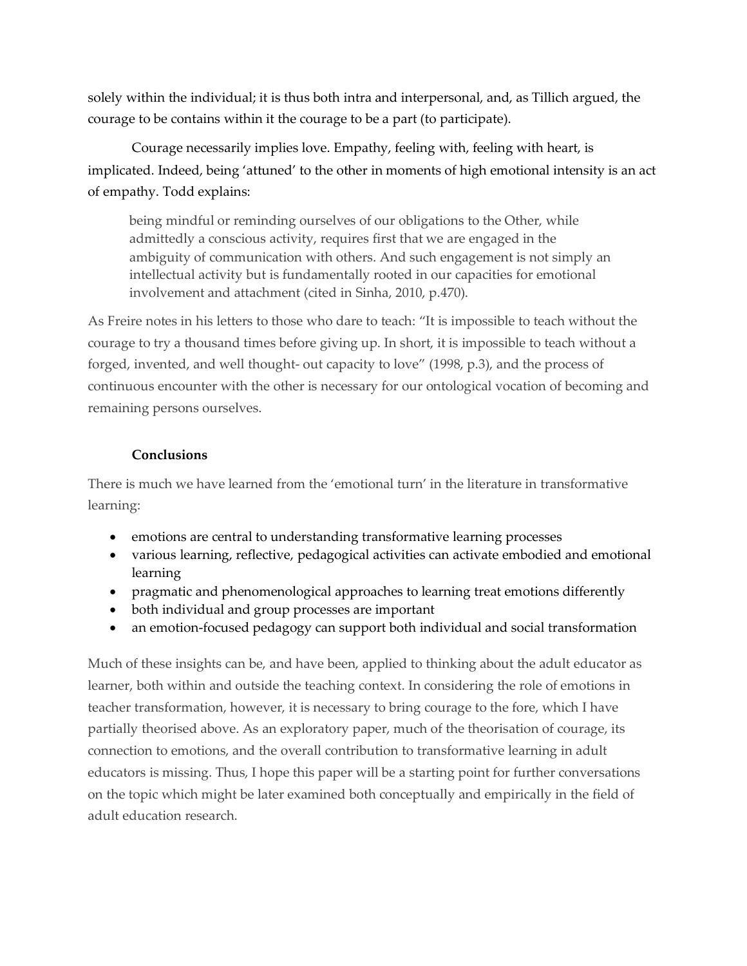solely within the individual; it is thus both intra and interpersonal, and, as Tillich argued, the courage to be contains within it the courage to be a part (to participate).

Courage necessarily implies love. Empathy, feeling with, feeling with heart, is implicated. Indeed, being 'attuned' to the other in moments of high emotional intensity is an act of empathy. Todd explains:

being mindful or reminding ourselves of our obligations to the Other, while admittedly a conscious activity, requires first that we are engaged in the ambiguity of communication with others. And such engagement is not simply an intellectual activity but is fundamentally rooted in our capacities for emotional involvement and attachment (cited in Sinha, 2010, p.470).

As Freire notes in his letters to those who dare to teach: "It is impossible to teach without the courage to try a thousand times before giving up. In short, it is impossible to teach without a forged, invented, and well thought- out capacity to love" (1998, p.3), and the process of continuous encounter with the other is necessary for our ontological vocation of becoming and remaining persons ourselves.

## **Conclusions**

There is much we have learned from the 'emotional turn' in the literature in transformative learning:

- emotions are central to understanding transformative learning processes
- various learning, reflective, pedagogical activities can activate embodied and emotional learning
- pragmatic and phenomenological approaches to learning treat emotions differently
- both individual and group processes are important
- an emotion-focused pedagogy can support both individual and social transformation

Much of these insights can be, and have been, applied to thinking about the adult educator as learner, both within and outside the teaching context. In considering the role of emotions in teacher transformation, however, it is necessary to bring courage to the fore, which I have partially theorised above. As an exploratory paper, much of the theorisation of courage, its connection to emotions, and the overall contribution to transformative learning in adult educators is missing. Thus, I hope this paper will be a starting point for further conversations on the topic which might be later examined both conceptually and empirically in the field of adult education research.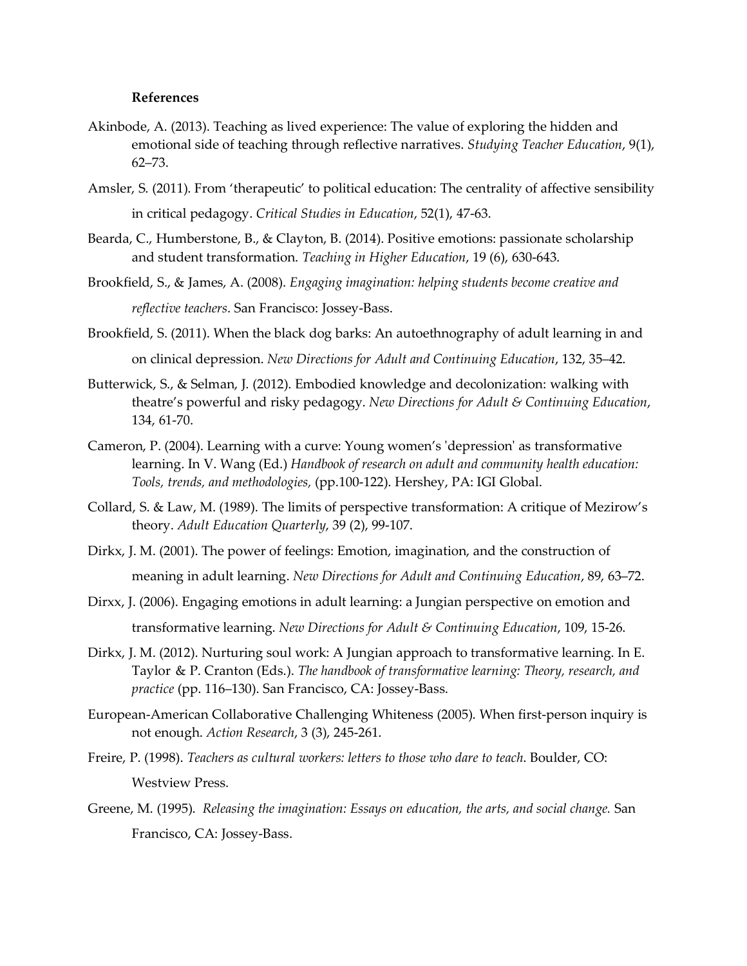#### **References**

- Akinbode, A. (2013). Teaching as lived experience: The value of exploring the hidden and emotional side of teaching through reflective narratives. *Studying Teacher Education*, 9(1), 62–73.
- Amsler, S. (2011). From 'therapeutic' to political education: The centrality of affective sensibility in critical pedagogy. *Critical Studies in Education*, 52(1), 47-63.
- Bearda, C., Humberstone, B., & Clayton, B. (2014). Positive emotions: passionate scholarship and student transformation. *Teaching in Higher Education*, 19 (6), 630-643.
- Brookfield, S., & James, A. (2008). *Engaging imagination: helping students become creative and reflective teachers*. San Francisco: Jossey-Bass.
- Brookfield, S. (2011). When the black dog barks: An autoethnography of adult learning in and on clinical depression. *New Directions for Adult and Continuing Education*, 132, 35–42.
- Butterwick, S., & Selman, J. (2012). Embodied knowledge and decolonization: walking with theatre's powerful and risky pedagogy. *New Directions for Adult & Continuing Education*, 134, 61-70.
- Cameron, P. (2004). Learning with a curve: Young women's 'depression' as transformative learning. In V. Wang (Ed.) *Handbook of research on adult and community health education: Tools, trends, and methodologies,* (pp.100-122). Hershey, PA: IGI Global.
- Collard, S. & Law, M. (1989). The limits of perspective transformation: A critique of Mezirow's theory. *Adult Education Quarterly*, 39 (2), 99-107.
- Dirkx, J. M. (2001). The power of feelings: Emotion, imagination, and the construction of meaning in adult learning. *New Directions for Adult and Continuing Education*, 89, 63–72.
- Dirxx, J. (2006). Engaging emotions in adult learning: a Jungian perspective on emotion and transformative learning. *New Directions for Adult & Continuing Education*, 109, 15-26.
- Dirkx, J. M. (2012). Nurturing soul work: A Jungian approach to transformative learning. In E. Taylor & P. Cranton (Eds.). *The handbook of transformative learning: Theory, research, and practice* (pp. 116–130). San Francisco, CA: Jossey-Bass.
- European-American Collaborative Challenging Whiteness (2005). When first-person inquiry is not enough. *Action Research*, 3 (3), 245-261.
- Freire, P. (1998). *Teachers as cultural workers: letters to those who dare to teach*. Boulder, CO: Westview Press.
- Greene, M. (1995). *Releasing the imagination: Essays on education, the arts, and social change.* San Francisco, CA: Jossey-Bass.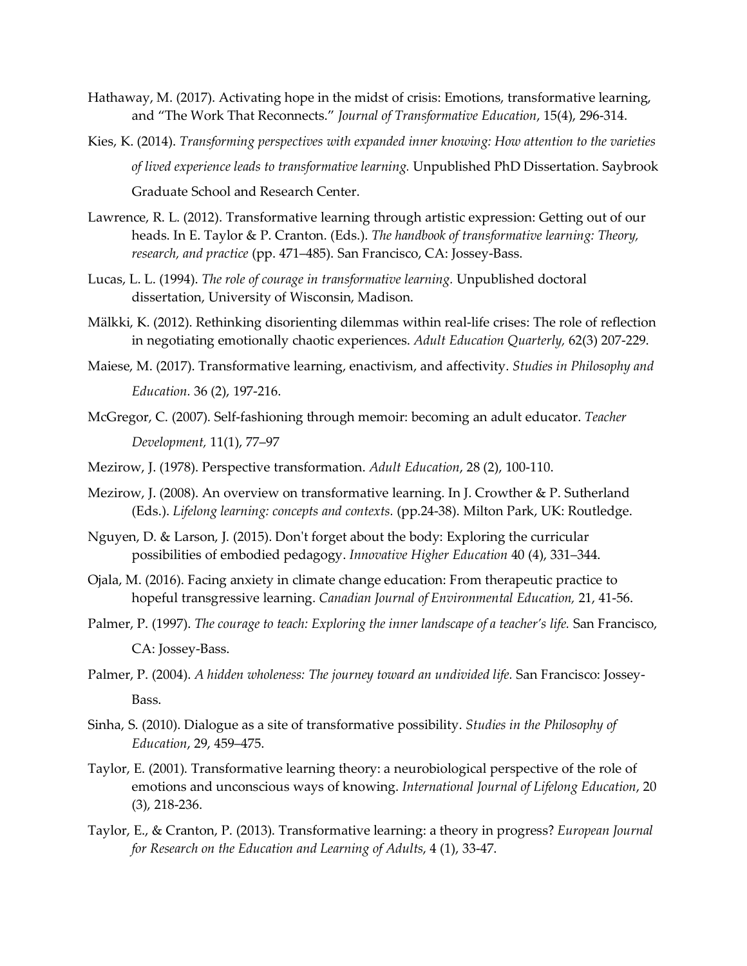- Hathaway, M. (2017). Activating hope in the midst of crisis: Emotions, transformative learning, and "The Work That Reconnects." *Journal of Transformative Education*, 15(4), 296-314.
- Kies, K. (2014). *Transforming perspectives with expanded inner knowing: How attention to the varieties of lived experience leads to transformative learning.* Unpublished PhD Dissertation. Saybrook Graduate School and Research Center.
- Lawrence, R. L. (2012). Transformative learning through artistic expression: Getting out of our heads. In E. Taylor & P. Cranton. (Eds.). *The handbook of transformative learning: Theory, research, and practice* (pp. 471–485). San Francisco, CA: Jossey-Bass.
- Lucas, L. L. (1994). *The role of courage in transformative learning.* Unpublished doctoral dissertation, University of Wisconsin, Madison.
- Mälkki, K. (2012). Rethinking disorienting dilemmas within real-life crises: The role of reflection in negotiating emotionally chaotic experiences. *Adult Education Quarterly,* 62(3) 207-229.
- Maiese, M. (2017). Transformative learning, enactivism, and affectivity. *Studies in Philosophy and Education.* 36 (2), 197-216.
- McGregor, C. (2007). Self-fashioning through memoir: becoming an adult educator. *Teacher Development,* 11(1), 77–97
- Mezirow, J. (1978). Perspective transformation. *Adult Education*, 28 (2), 100-110.
- Mezirow, J. (2008). An overview on transformative learning. In J. Crowther & P. Sutherland (Eds.). *Lifelong learning: concepts and contexts.* (pp.24-38). Milton Park, UK: Routledge.
- Nguyen, D. & Larson, J. (2015). Don't forget about the body: Exploring the curricular possibilities of embodied pedagogy. *Innovative Higher Education* 40 (4), 331–344.
- Ojala, M. (2016). Facing anxiety in climate change education: From therapeutic practice to hopeful transgressive learning. *Canadian Journal of Environmental Education,* 21, 41-56.
- Palmer, P. (1997). *The courage to teach: Exploring the inner landscape of a teacher's life.* San Francisco, CA: Jossey-Bass.
- Palmer, P. (2004). *A hidden wholeness: The journey toward an undivided life.* San Francisco: Jossey-Bass.
- Sinha, S. (2010). Dialogue as a site of transformative possibility. *Studies in the Philosophy of Education*, 29, 459–475.
- Taylor, E. (2001). Transformative learning theory: a neurobiological perspective of the role of emotions and unconscious ways of knowing. *International Journal of Lifelong Education*, 20 (3), 218-236.
- Taylor, E., & Cranton, P. (2013). Transformative learning: a theory in progress? *European Journal for Research on the Education and Learning of Adults*, 4 (1), 33-47.